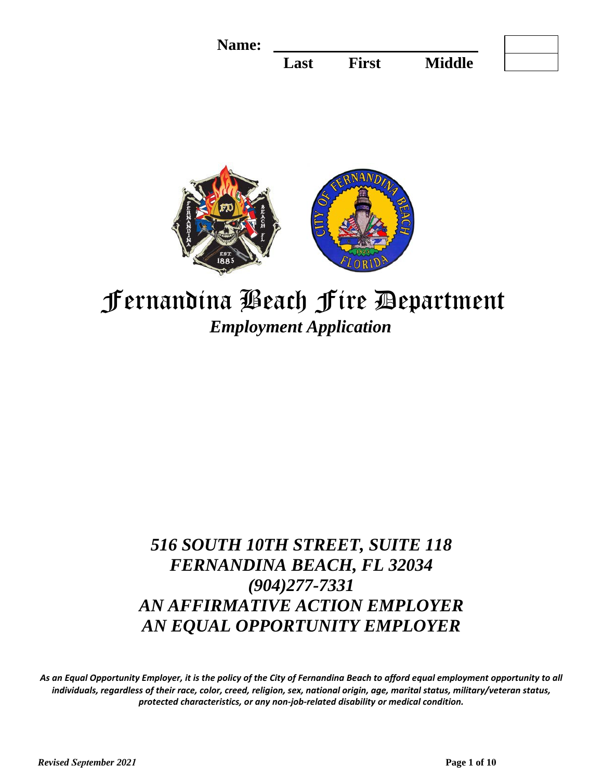



# Fernandina Beach Fire Department *Employment Application*

# *516 SOUTH 10TH STREET, SUITE 118 FERNANDINA BEACH, FL 32034 (904)277-7331 AN AFFIRMATIVE ACTION EMPLOYER AN EQUAL OPPORTUNITY EMPLOYER*

*As an Equal Opportunity Employer, it is the policy of the City of Fernandina Beach to afford equal employment opportunity to all individuals, regardless of their race, color, creed, religion, sex, national origin, age, marital status, military/veteran status, protected characteristics, or any non-job-related disability or medical condition.*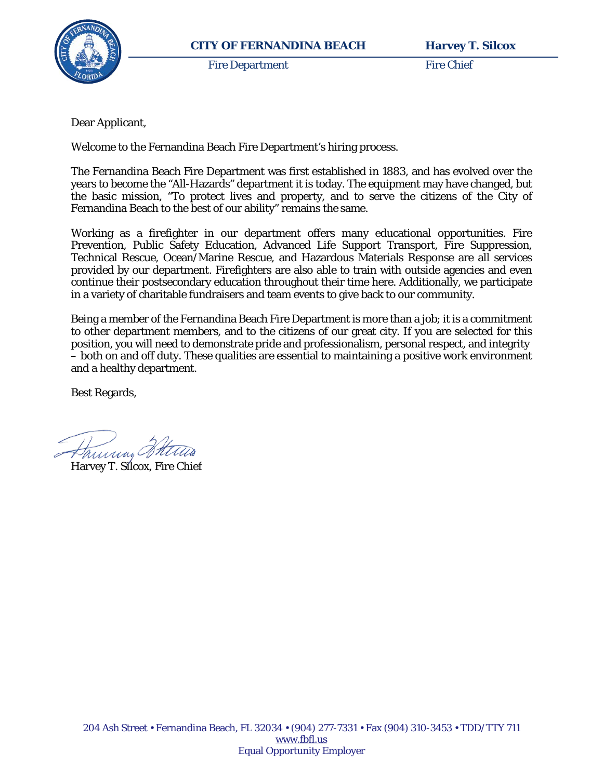

Fire Department Fire Chief

Dear Applicant,

Welcome to the Fernandina Beach Fire Department's hiring process.

The Fernandina Beach Fire Department was first established in 1883, and has evolved over the years to become the "All-Hazards" department it is today. The equipment may have changed, but the basic mission, "To protect lives and property, and to serve the citizens of the City of Fernandina Beach to the best of our ability" remains the same.

Working as a firefighter in our department offers many educational opportunities. Fire Prevention, Public Safety Education, Advanced Life Support Transport, Fire Suppression, Technical Rescue, Ocean/Marine Rescue, and Hazardous Materials Response are all services provided by our department. Firefighters are also able to train with outside agencies and even continue their postsecondary education throughout their time here. Additionally, we participate in a variety of charitable fundraisers and team events to give back to our community.

Being a member of the Fernandina Beach Fire Department is more than a job; it is a commitment to other department members, and to the citizens of our great city. If you are selected for this position, you will need to demonstrate pride and professionalism, personal respect, and integrity – both on and off duty. These qualities are essential to maintaining a positive work environment and a healthy department.

Best Regards,

Hammy Stetters

Harvey T. Silcox, Fire Chief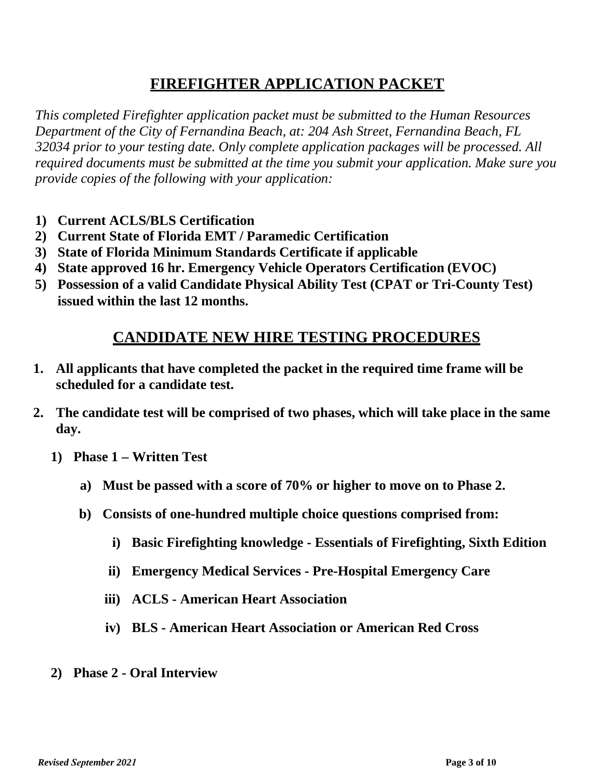## **FIREFIGHTER APPLICATION PACKET**

*This completed Firefighter application packet must be submitted to the Human Resources Department of the City of Fernandina Beach, at: 204 Ash Street, Fernandina Beach, FL 32034 prior to your testing date. Only complete application packages will be processed. All required documents must be submitted at the time you submit your application. Make sure you provide copies of the following with your application:*

- **1) Current ACLS/BLS Certification**
- **2) Current State of Florida EMT / Paramedic Certification**
- **3) State of Florida Minimum Standards Certificate if applicable**
- **4) State approved 16 hr. Emergency Vehicle Operators Certification (EVOC)**
- **5) Possession of a valid Candidate Physical Ability Test (CPAT or Tri-County Test) issued within the last 12 months.**

### **CANDIDATE NEW HIRE TESTING PROCEDURES**

- **1. All applicants that have completed the packet in the required time frame will be scheduled for a candidate test.**
- **2. The candidate test will be comprised of two phases, which will take place in the same day.**
	- **1) Phase 1 Written Test**
		- **a) Must be passed with a score of 70% or higher to move on to Phase 2.**
		- **b) Consists of one-hundred multiple choice questions comprised from:**
			- **i) Basic Firefighting knowledge Essentials of Firefighting, Sixth Edition**
			- **ii) Emergency Medical Services Pre-Hospital Emergency Care**
			- **iii) ACLS American Heart Association**
			- **iv) BLS American Heart Association or American Red Cross**
	- **2) Phase 2 Oral Interview**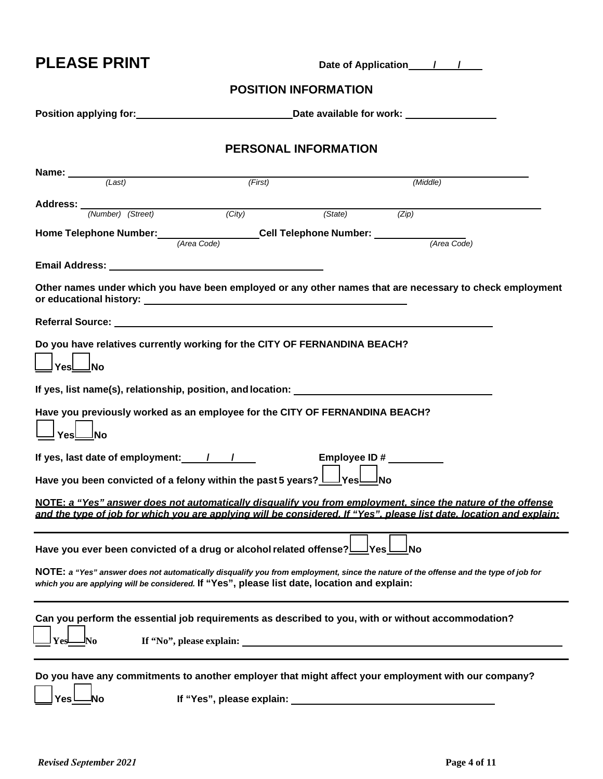**PLEASE PRINT** Date of Application  $\frac{1}{2}$ 

#### **POSITION INFORMATION**

| <b>PERSONAL INFORMATION</b>                                                                                                                                                                                                                                                                                                                                                               |                           |                         |             |  |  |  |  |
|-------------------------------------------------------------------------------------------------------------------------------------------------------------------------------------------------------------------------------------------------------------------------------------------------------------------------------------------------------------------------------------------|---------------------------|-------------------------|-------------|--|--|--|--|
|                                                                                                                                                                                                                                                                                                                                                                                           |                           |                         |             |  |  |  |  |
| Name: $\frac{1}{\sqrt{2\cdot\frac{1}{1}}\cdot\frac{1}{1}}$                                                                                                                                                                                                                                                                                                                                | (First)                   |                         | (Middle)    |  |  |  |  |
|                                                                                                                                                                                                                                                                                                                                                                                           |                           |                         |             |  |  |  |  |
| <b>Address:</b> <u>(Number) (Street)</u>                                                                                                                                                                                                                                                                                                                                                  | (City)                    | (State)                 | (Zip)       |  |  |  |  |
|                                                                                                                                                                                                                                                                                                                                                                                           |                           |                         |             |  |  |  |  |
| Home Telephone Number: <u>Area Code</u> Cell Telephone Number: 1                                                                                                                                                                                                                                                                                                                          |                           |                         | (Area Code) |  |  |  |  |
|                                                                                                                                                                                                                                                                                                                                                                                           |                           |                         |             |  |  |  |  |
|                                                                                                                                                                                                                                                                                                                                                                                           |                           |                         |             |  |  |  |  |
| Other names under which you have been employed or any other names that are necessary to check employment                                                                                                                                                                                                                                                                                  |                           |                         |             |  |  |  |  |
|                                                                                                                                                                                                                                                                                                                                                                                           |                           |                         |             |  |  |  |  |
| Do you have relatives currently working for the CITY OF FERNANDINA BEACH?<br>ˈYes∟_lNo                                                                                                                                                                                                                                                                                                    |                           |                         |             |  |  |  |  |
|                                                                                                                                                                                                                                                                                                                                                                                           |                           |                         |             |  |  |  |  |
| Have you previously worked as an employee for the CITY OF FERNANDINA BEACH?<br>YesL <sup>No</sup>                                                                                                                                                                                                                                                                                         |                           |                         |             |  |  |  |  |
| If yes, last date of employment: $\frac{1}{1-\frac{1}{1-\frac{1}{1-\frac{1}{1-\frac{1}{1-\frac{1}{1-\frac{1}{1-\frac{1}{1-\frac{1}{1-\frac{1}{1-\frac{1}{1-\frac{1}{1-\frac{1}{1-\frac{1}{1-\frac{1}{1-\frac{1}{1-\frac{1}{1-\frac{1}{1-\frac{1}{1-\frac{1}{1-\frac{1}{1-\frac{1}{1-\frac{1}{1-\frac{1}{1-\frac{1}{1-\frac{1}{1-\frac{1}{1-\frac{1}{1-\frac{1}{1-\frac{1}{1-\frac{1}{1-\$ |                           | Employee ID # _________ |             |  |  |  |  |
| Have you been convicted of a felony within the past 5 years? Lesland                                                                                                                                                                                                                                                                                                                      |                           |                         |             |  |  |  |  |
| NOTE: a "Yes" answer does not automatically disqualify you from employment, since the nature of the offense<br>and the type of job for which you are applying will be considered. If "Yes", please list date, location and explain:                                                                                                                                                       |                           |                         |             |  |  |  |  |
| Have you ever been convicted of a drug or alcohol related offense? Ves <u>No</u>                                                                                                                                                                                                                                                                                                          |                           |                         |             |  |  |  |  |
| NOTE: a "Yes" answer does not automatically disqualify you from employment, since the nature of the offense and the type of job for<br>which you are applying will be considered. If "Yes", please list date, location and explain:                                                                                                                                                       |                           |                         |             |  |  |  |  |
| Can you perform the essential job requirements as described to you, with or without accommodation?                                                                                                                                                                                                                                                                                        |                           |                         |             |  |  |  |  |
| Do you have any commitments to another employer that might affect your employment with our company?<br>Yes<br>Nο                                                                                                                                                                                                                                                                          | If "Yes", please explain: |                         |             |  |  |  |  |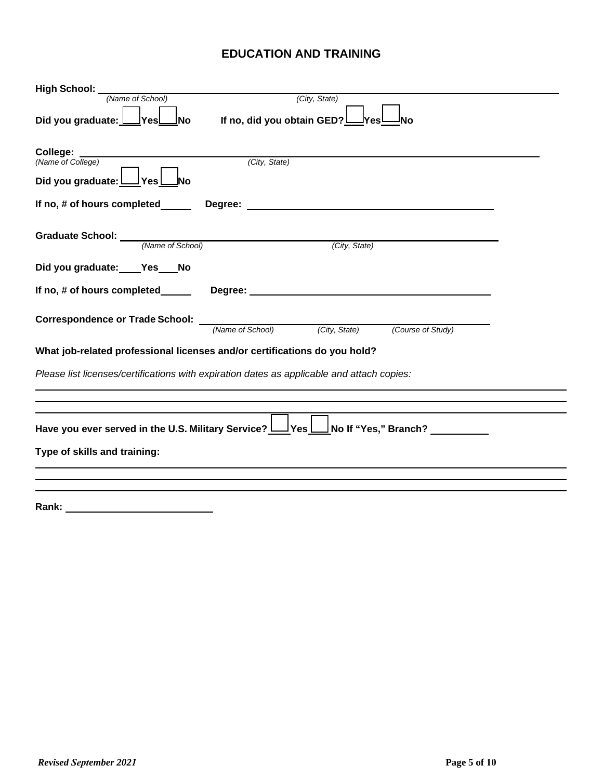#### **EDUCATION AND TRAINING**

| High School: _                                                                                    |  |  |  |  |  |  |
|---------------------------------------------------------------------------------------------------|--|--|--|--|--|--|
| (Name of School)<br>(City, State)                                                                 |  |  |  |  |  |  |
| If no, did you obtain GED?<br>Did you graduate: L<br>_No<br>JYes∟<br><u> lYes!</u><br>ΙNο         |  |  |  |  |  |  |
| College:<br>(City, State)<br>(Name of College)<br>Did you graduate: L<br>∣Yes l                   |  |  |  |  |  |  |
| If no, # of hours completed______                                                                 |  |  |  |  |  |  |
| (City, State)                                                                                     |  |  |  |  |  |  |
| Did you graduate: Yes No                                                                          |  |  |  |  |  |  |
| If no, # of hours completed______                                                                 |  |  |  |  |  |  |
| <b>Correspondence or Trade School:</b> <u>(Name of School)</u> (City, State)<br>(Course of Study) |  |  |  |  |  |  |
| What job-related professional licenses and/or certifications do you hold?                         |  |  |  |  |  |  |
| Please list licenses/certifications with expiration dates as applicable and attach copies:        |  |  |  |  |  |  |
| Have you ever served in the U.S. Military Service?<br>Type of skills and training:                |  |  |  |  |  |  |
| Rank:                                                                                             |  |  |  |  |  |  |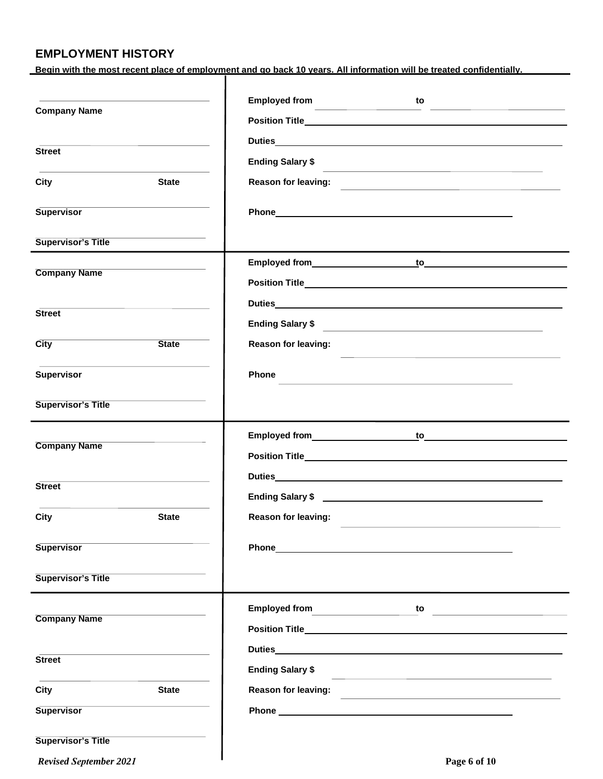#### **EMPLOYMENT HISTORY**

**Begin with the most recent place of employment and go back 10 years. All information will be treated confidentially.**

|                               |                                         | <b>Employed from</b><br>to                                                                                                                                                                                                                    |
|-------------------------------|-----------------------------------------|-----------------------------------------------------------------------------------------------------------------------------------------------------------------------------------------------------------------------------------------------|
| <b>Company Name</b>           |                                         | <u> 1989 - Johann Barn, amerikansk politiker (</u><br><u> 1990 - Andrea Andrew Maria (h. 1980).</u>                                                                                                                                           |
|                               |                                         |                                                                                                                                                                                                                                               |
| <b>Street</b>                 |                                         | <b>Ending Salary \$</b>                                                                                                                                                                                                                       |
| City                          | <b>State</b>                            | <u> 1989 - Andrea San Andrew Maria (h. 1989).</u><br>Reason for leaving:                                                                                                                                                                      |
|                               |                                         |                                                                                                                                                                                                                                               |
| <b>Supervisor</b>             |                                         | Phone experience and the state of the state of the state of the state of the state of the state of the state of the state of the state of the state of the state of the state of the state of the state of the state of the st                |
| <b>Supervisor's Title</b>     |                                         |                                                                                                                                                                                                                                               |
|                               | <u> 1989 - Johann Barbara, martin a</u> |                                                                                                                                                                                                                                               |
| <b>Company Name</b>           |                                         |                                                                                                                                                                                                                                               |
|                               |                                         |                                                                                                                                                                                                                                               |
| <b>Street</b>                 |                                         | Ending Salary \$                                                                                                                                                                                                                              |
| City                          | <b>State</b>                            | Reason for leaving:                                                                                                                                                                                                                           |
| <b>Supervisor</b>             |                                         | <b>Phone</b><br>the control of the control of the control of the control of the control of the control of the control of the control of the control of the control of the control of the control of the control of the control of the control |
| <b>Supervisor's Title</b>     |                                         |                                                                                                                                                                                                                                               |
|                               |                                         |                                                                                                                                                                                                                                               |
| <b>Company Name</b>           |                                         | Employed from the state of the control of the state of the state of the state of the state of the state of the state of the state of the state of the state of the state of the state of the state of the state of the state o                |
|                               |                                         |                                                                                                                                                                                                                                               |
| <b>Street</b>                 |                                         | Duties                                                                                                                                                                                                                                        |
|                               |                                         |                                                                                                                                                                                                                                               |
| <b>City</b>                   | <b>State</b>                            | <b>Reason for leaving:</b>                                                                                                                                                                                                                    |
| <b>Supervisor</b>             |                                         | Phone 2008 2010 2010 2021 2022 2023 2024 2022 2022 2023 2024 2022 2023 2024 2022 2023 2024 2022 2023 2024 2025                                                                                                                                |
|                               |                                         |                                                                                                                                                                                                                                               |
| <b>Supervisor's Title</b>     |                                         |                                                                                                                                                                                                                                               |
| <b>Company Name</b>           |                                         | to <u>________________</u>                                                                                                                                                                                                                    |
|                               |                                         |                                                                                                                                                                                                                                               |
|                               |                                         | Duties <b>Example 2018 Contract Contract Contract Contract Contract Contract Contract Contract Contract Contract Contract Contract Contract Contract Contract Contract Contract Contract Contract Contract Contract Contract C</b>            |
| <b>Street</b>                 |                                         | <b>Ending Salary \$</b><br><u> 1989 - Johann Harry Harry Harry Harry Harry Harry Harry Harry Harry Harry Harry Harry Harry Harry Harry Harry</u>                                                                                              |
| City                          | <b>State</b>                            | <b>Reason for leaving:</b>                                                                                                                                                                                                                    |
| <b>Supervisor</b>             |                                         |                                                                                                                                                                                                                                               |
| <b>Supervisor's Title</b>     |                                         |                                                                                                                                                                                                                                               |
| <b>Revised September 2021</b> |                                         | Page 6 of 10                                                                                                                                                                                                                                  |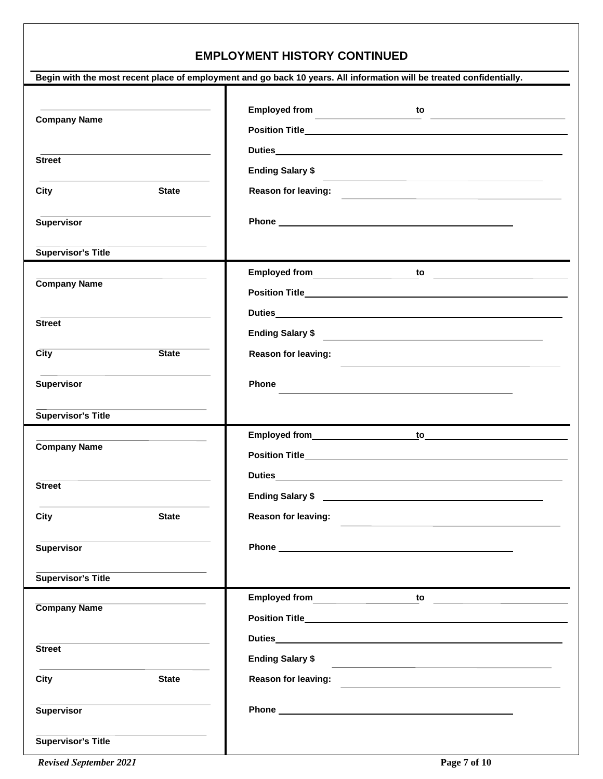#### **EMPLOYMENT HISTORY CONTINUED**

|                                                                                                                      | Begin with the most recent place of employment and go back 10 years. All information will be treated confidentially.                                                                                                                                            |
|----------------------------------------------------------------------------------------------------------------------|-----------------------------------------------------------------------------------------------------------------------------------------------------------------------------------------------------------------------------------------------------------------|
| <u> 1989 - Johann Stein, marwolaethau a bhann an t-Amhair ann an t-Amhair an t-Amhair an t-Amhair an t-Amhair an</u> | Employed from<br>to                                                                                                                                                                                                                                             |
| <b>Company Name</b>                                                                                                  | Position Title <b>Exercise Contract Contract Contract Contract Contract Contract Contract Contract Contract Contract Contract Contract Contract Contract Contract Contract Contract Contract Contract Contract Contract Contract</b>                            |
|                                                                                                                      |                                                                                                                                                                                                                                                                 |
| <b>Street</b>                                                                                                        | <b>Ending Salary \$</b>                                                                                                                                                                                                                                         |
| City<br><b>State</b>                                                                                                 | <u> 1989 - Johann Stoff, amerikansk politiker (* 1908)</u><br><b>Reason for leaving:</b>                                                                                                                                                                        |
| <b>Supervisor</b>                                                                                                    | Phone experience and the state of the state of the state of the state of the state of the state of the state of the state of the state of the state of the state of the state of the state of the state of the state of the st                                  |
| <b>Supervisor's Title</b>                                                                                            |                                                                                                                                                                                                                                                                 |
|                                                                                                                      |                                                                                                                                                                                                                                                                 |
| <b>Company Name</b>                                                                                                  |                                                                                                                                                                                                                                                                 |
|                                                                                                                      | Duties <b>Example 2018 Contract Contract Contract Contract Contract Contract Contract Contract Contract Contract Contract Contract Contract Contract Contract Contract Contract Contract Contract Contract Contract Contract C</b>                              |
| <b>Street</b>                                                                                                        | <b>Ending Salary \$</b><br><u> 1980 - Andrea State Barbara, amerikan personal dan personal dan personal dan personal dan personal dan personal dan personal dan personal dan personal dan personal dan personal dan personal dan personal dan personal dan </u> |
| <b>State</b><br>$\overline{City}$                                                                                    | Reason for leaving:<br>the control of the control of the control of the control of the control of the control of the control of the control of the control of the control of the control of the control of the control of the control of the control            |
| <b>Supervisor</b>                                                                                                    | <b>Phone</b><br>and the control of the control of the control of the control of the control of the control of the control of the                                                                                                                                |
| <b>Supervisor's Title</b>                                                                                            |                                                                                                                                                                                                                                                                 |
|                                                                                                                      |                                                                                                                                                                                                                                                                 |
| <b>Company Name</b>                                                                                                  |                                                                                                                                                                                                                                                                 |
|                                                                                                                      |                                                                                                                                                                                                                                                                 |
| <b>Street</b>                                                                                                        |                                                                                                                                                                                                                                                                 |
| <b>City</b><br><b>State</b>                                                                                          | Reason for leaving:                                                                                                                                                                                                                                             |
| <b>Supervisor</b>                                                                                                    |                                                                                                                                                                                                                                                                 |
| <b>Supervisor's Title</b>                                                                                            |                                                                                                                                                                                                                                                                 |
|                                                                                                                      |                                                                                                                                                                                                                                                                 |
| <b>Company Name</b>                                                                                                  |                                                                                                                                                                                                                                                                 |
|                                                                                                                      |                                                                                                                                                                                                                                                                 |
| <b>Street</b>                                                                                                        | <b>Ending Salary \$</b><br><u> 1989 - Johann Stein, marwolaethau a bhann an t-Amhain an t-Amhain an t-Amhain an t-Amhain an t-Amhain an t-A</u>                                                                                                                 |
| City<br><b>State</b>                                                                                                 | <b>Reason for leaving:</b><br><u> 1980 - Andrea Andrew Maria (h. 1980).</u>                                                                                                                                                                                     |
| <b>Supervisor</b>                                                                                                    |                                                                                                                                                                                                                                                                 |
| <b>Supervisor's Title</b>                                                                                            |                                                                                                                                                                                                                                                                 |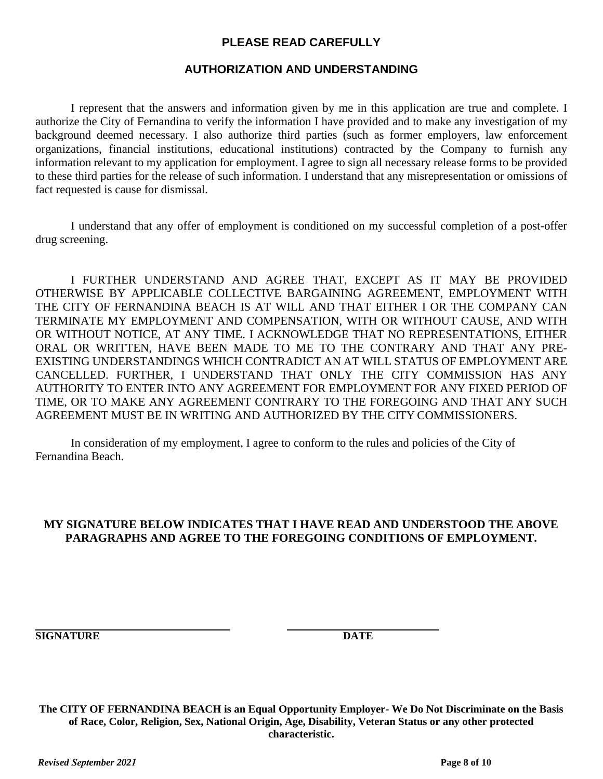#### **PLEASE READ CAREFULLY**

#### **AUTHORIZATION AND UNDERSTANDING**

I represent that the answers and information given by me in this application are true and complete. I authorize the City of Fernandina to verify the information I have provided and to make any investigation of my background deemed necessary. I also authorize third parties (such as former employers, law enforcement organizations, financial institutions, educational institutions) contracted by the Company to furnish any information relevant to my application for employment. I agree to sign all necessary release forms to be provided to these third parties for the release of such information. I understand that any misrepresentation or omissions of fact requested is cause for dismissal.

I understand that any offer of employment is conditioned on my successful completion of a post-offer drug screening.

I FURTHER UNDERSTAND AND AGREE THAT, EXCEPT AS IT MAY BE PROVIDED OTHERWISE BY APPLICABLE COLLECTIVE BARGAINING AGREEMENT, EMPLOYMENT WITH THE CITY OF FERNANDINA BEACH IS AT WILL AND THAT EITHER I OR THE COMPANY CAN TERMINATE MY EMPLOYMENT AND COMPENSATION, WITH OR WITHOUT CAUSE, AND WITH OR WITHOUT NOTICE, AT ANY TIME. I ACKNOWLEDGE THAT NO REPRESENTATIONS, EITHER ORAL OR WRITTEN, HAVE BEEN MADE TO ME TO THE CONTRARY AND THAT ANY PRE-EXISTING UNDERSTANDINGS WHICH CONTRADICT AN AT WILL STATUS OF EMPLOYMENT ARE CANCELLED. FURTHER, I UNDERSTAND THAT ONLY THE CITY COMMISSION HAS ANY AUTHORITY TO ENTER INTO ANY AGREEMENT FOR EMPLOYMENT FOR ANY FIXED PERIOD OF TIME, OR TO MAKE ANY AGREEMENT CONTRARY TO THE FOREGOING AND THAT ANY SUCH AGREEMENT MUST BE IN WRITING AND AUTHORIZED BY THE CITY COMMISSIONERS.

In consideration of my employment, I agree to conform to the rules and policies of the City of Fernandina Beach.

#### **MY SIGNATURE BELOW INDICATES THAT I HAVE READ AND UNDERSTOOD THE ABOVE PARAGRAPHS AND AGREE TO THE FOREGOING CONDITIONS OF EMPLOYMENT.**

**SIGNATURE DATE** 

**The CITY OF FERNANDINA BEACH is an Equal Opportunity Employer- We Do Not Discriminate on the Basis of Race, Color, Religion, Sex, National Origin, Age, Disability, Veteran Status or any other protected characteristic.**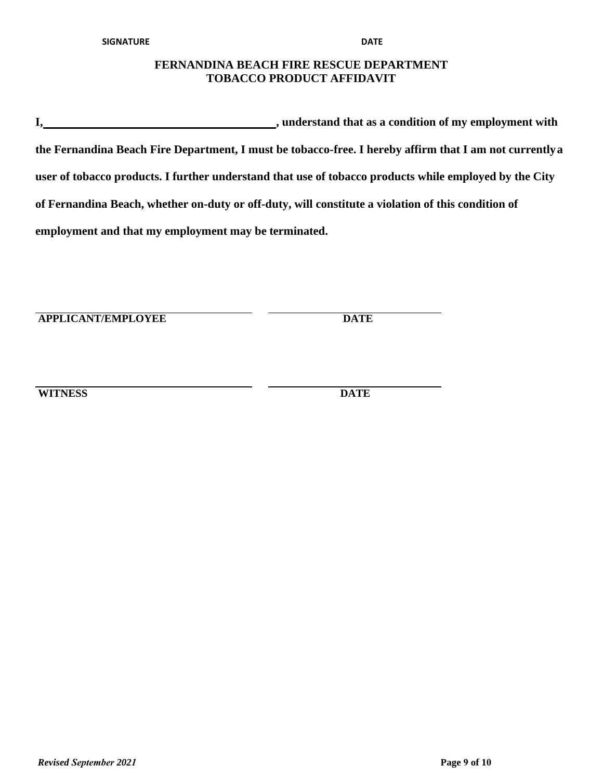#### **FERNANDINA BEACH FIRE RESCUE DEPARTMENT TOBACCO PRODUCT AFFIDAVIT**

**I**, **understand that as a condition of my employment with the Fernandina Beach Fire Department, I must be tobacco-free. I hereby affirm that I am not currently a user of tobacco products. I further understand that use of tobacco products while employed by the City of Fernandina Beach, whether on-duty or off-duty, will constitute a violation of this condition of employment and that my employment may be terminated.**

**APPLICANT/EMPLOYEE DATE**

**WITNESS DATE**